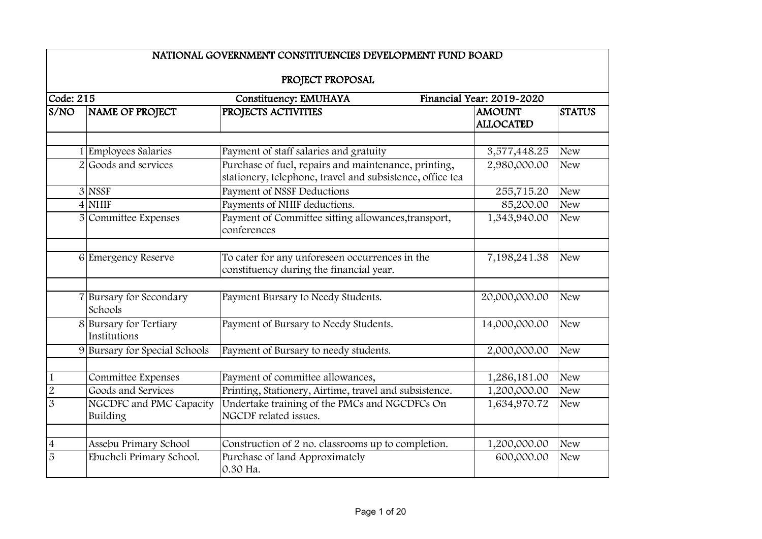|                | NATIONAL GOVERNMENT CONSTITUENCIES DEVELOPMENT FUND BOARD |                                                                                                                   |                                   |               |  |  |
|----------------|-----------------------------------------------------------|-------------------------------------------------------------------------------------------------------------------|-----------------------------------|---------------|--|--|
|                | PROJECT PROPOSAL                                          |                                                                                                                   |                                   |               |  |  |
| Code: 215      |                                                           | Constituency: EMUHAYA                                                                                             | Financial Year: 2019-2020         |               |  |  |
| S/NO           | <b>NAME OF PROJECT</b>                                    | PROJECTS ACTIVITIES                                                                                               | <b>AMOUNT</b><br><b>ALLOCATED</b> | <b>STATUS</b> |  |  |
|                |                                                           |                                                                                                                   |                                   |               |  |  |
|                | 1 Employees Salaries                                      | Payment of staff salaries and gratuity                                                                            | 3,577,448.25                      | <b>New</b>    |  |  |
|                | 2 Goods and services                                      | Purchase of fuel, repairs and maintenance, printing,<br>stationery, telephone, travel and subsistence, office tea | 2,980,000.00                      | <b>New</b>    |  |  |
|                | 3 NSSF                                                    | Payment of NSSF Deductions                                                                                        | 255,715.20                        | <b>New</b>    |  |  |
|                | $4$ NHIF                                                  | Payments of NHIF deductions.                                                                                      | 85,200.00                         | <b>New</b>    |  |  |
|                | 5 Committee Expenses                                      | Payment of Committee sitting allowances, transport,<br>conferences                                                | 1,343,940.00                      | <b>New</b>    |  |  |
|                |                                                           |                                                                                                                   |                                   |               |  |  |
|                | 6 Emergency Reserve                                       | To cater for any unforeseen occurrences in the<br>constituency during the financial year.                         | 7,198,241.38                      | <b>New</b>    |  |  |
|                |                                                           |                                                                                                                   |                                   |               |  |  |
|                | 7 Bursary for Secondary<br>Schools                        | Payment Bursary to Needy Students.                                                                                | 20,000,000.00                     | <b>New</b>    |  |  |
|                | 8 Bursary for Tertiary<br>Institutions                    | Payment of Bursary to Needy Students.                                                                             | 14,000,000.00                     | <b>New</b>    |  |  |
|                | 9 Bursary for Special Schools                             | Payment of Bursary to needy students.                                                                             | 2,000,000.00                      | <b>New</b>    |  |  |
| $\mathbf{1}$   | Committee Expenses                                        | Payment of committee allowances,                                                                                  | 1,286,181.00                      | <b>New</b>    |  |  |
| $\overline{2}$ | Goods and Services                                        | Printing, Stationery, Airtime, travel and subsistence.                                                            | 1,200,000.00                      | <b>New</b>    |  |  |
| $\overline{3}$ |                                                           | Undertake training of the PMCs and NGCDFCs On                                                                     |                                   |               |  |  |
|                | NGCDFC and PMC Capacity<br>Building                       | NGCDF related issues.                                                                                             | 1,634,970.72                      | <b>New</b>    |  |  |
|                |                                                           |                                                                                                                   |                                   |               |  |  |
| $\overline{4}$ | Assebu Primary School                                     | Construction of 2 no. classrooms up to completion.                                                                | 1,200,000.00                      | <b>New</b>    |  |  |
| 5              | Ebucheli Primary School.                                  | Purchase of land Approximately<br>0.30 Ha.                                                                        | 600,000.00                        | <b>New</b>    |  |  |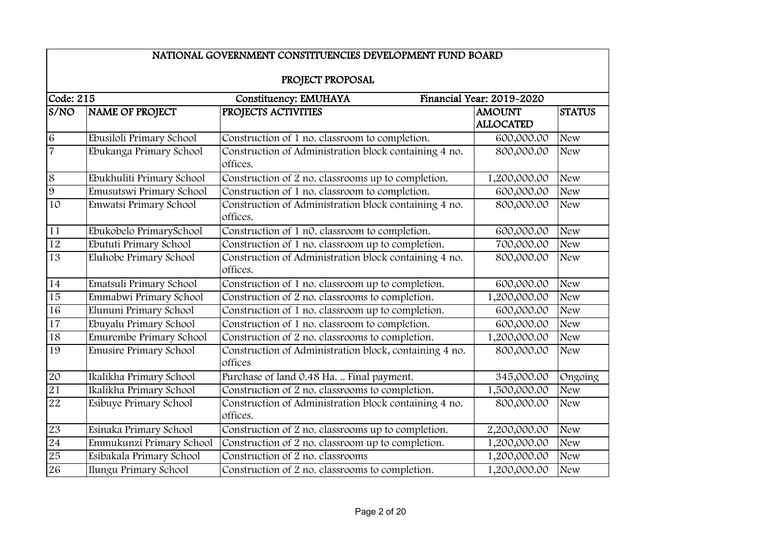|                                                                        | NATIONAL GOVERNMENT CONSTITUENCIES DEVELOPMENT FUND BOARD |                                                                   |                                   |               |
|------------------------------------------------------------------------|-----------------------------------------------------------|-------------------------------------------------------------------|-----------------------------------|---------------|
|                                                                        |                                                           | PROJECT PROPOSAL                                                  |                                   |               |
|                                                                        |                                                           |                                                                   |                                   |               |
| Code: 215<br><b>Constituency: EMUHAYA</b><br>Financial Year: 2019-2020 |                                                           |                                                                   |                                   |               |
| S/NO                                                                   | NAME OF PROJECT                                           | PROJECTS ACTIVITIES                                               | <b>AMOUNT</b><br><b>ALLOCATED</b> | <b>STATUS</b> |
| $\overline{6}$                                                         | Ebusiloli Primary School                                  | Construction of 1 no. classroom to completion.                    | 600,000.00                        | <b>New</b>    |
| $\overline{7}$                                                         | Ebukanga Primary School                                   | Construction of Administration block containing 4 no.<br>offices. | 800,000.00                        | <b>New</b>    |
| $\overline{8}$                                                         | Ebukhuliti Primary School                                 | Construction of 2 no. classrooms up to completion.                | 1,200,000.00                      | <b>New</b>    |
| 9                                                                      | Emusutswi Primary School                                  | Construction of 1 no. classroom to completion.                    | 600,000.00                        | <b>New</b>    |
| 10                                                                     | Emwatsi Primary School                                    | Construction of Administration block containing 4 no.<br>offices. | 800,000.00                        | <b>New</b>    |
| 11                                                                     | Ebukobelo PrimarySchool                                   | Construction of 1 n0. classroom to completion.                    | 600,000.00                        | <b>New</b>    |
| $\overline{12}$                                                        | Ebututi Primary School                                    | Construction of 1 no. classroom up to completion.                 | 700,000.00                        | <b>New</b>    |
| $\overline{13}$                                                        | Eluhobe Primary School                                    | Construction of Administration block containing 4 no.<br>offices. | 800,000.00                        | <b>New</b>    |
| 14                                                                     | Ematsuli Primary School                                   | Construction of 1 no. classroom up to completion.                 | 600,000.00                        | <b>New</b>    |
| 15                                                                     | Emmabwi Primary School                                    | Construction of 2 no. classrooms to completion.                   | 1,200,000.00                      | <b>New</b>    |
| 16                                                                     | Elununi Primary School                                    | Construction of 1 no. classroom up to completion.                 | 600,000.00                        | <b>New</b>    |
| $\overline{17}$                                                        | Ebuyalu Primary School                                    | Construction of 1 no. classroom to completion.                    | 600,000.00                        | <b>New</b>    |
| 18                                                                     | Emurembe Primary School                                   | Construction of 2 no. classrooms to completion.                   | 1,200,000.00                      | <b>New</b>    |
| 19                                                                     | <b>Emusire Primary School</b>                             | Construction of Administration block, containing 4 no.<br>offices | 800,000.00                        | <b>New</b>    |
| $20\,$                                                                 | Ikalikha Primary School                                   | Purchase of land 0.48 Ha.  Final payment.                         | 345,000.00                        | Ongoing       |
| 21                                                                     | Ikalikha Primary School                                   | Construction of 2 no. classrooms to completion.                   | 1,500,000.00                      | <b>New</b>    |
| 22                                                                     | Esibuye Primary School                                    | Construction of Administration block containing 4 no.<br>offices. | 800,000.00                        | <b>New</b>    |
| $23\,$                                                                 | Esinaka Primary School                                    | Construction of 2 no. classrooms up to completion.                | 2,200,000.00                      | <b>New</b>    |
| 24                                                                     | Emmukunzi Primary School                                  | Construction of 2 no. classroom up to completion.                 | 1,200,000.00                      | <b>New</b>    |
| 25                                                                     | Esibakala Primary School                                  | Construction of 2 no. classrooms                                  | 1,200,000.00                      | <b>New</b>    |
| 26                                                                     | Ilungu Primary School                                     | Construction of 2 no. classrooms to completion.                   | 1,200,000.00                      | <b>New</b>    |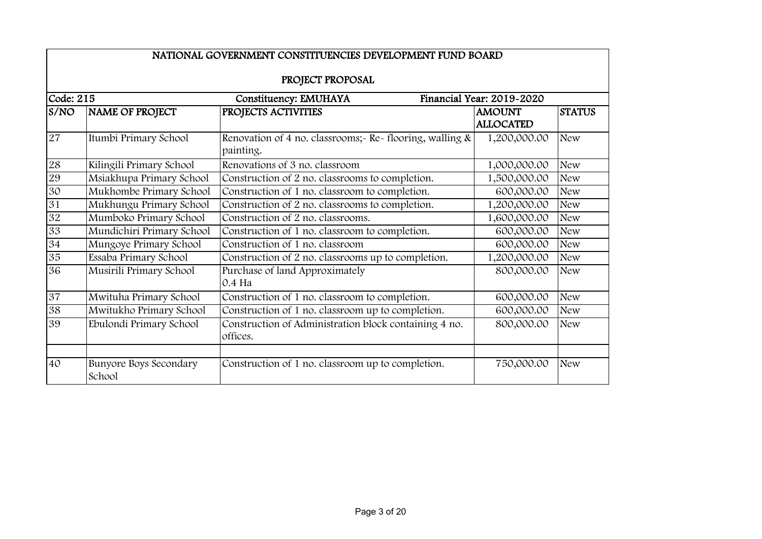|                   | NATIONAL GOVERNMENT CONSTITUENCIES DEVELOPMENT FUND BOARD |                                                                         |                                   |               |  |  |
|-------------------|-----------------------------------------------------------|-------------------------------------------------------------------------|-----------------------------------|---------------|--|--|
|                   | PROJECT PROPOSAL                                          |                                                                         |                                   |               |  |  |
| $\vert$ Code: 215 |                                                           | Constituency: EMUHAYA                                                   | Financial Year: 2019-2020         |               |  |  |
| S/NO              | <b>NAME OF PROJECT</b>                                    | PROJECTS ACTIVITIES                                                     | <b>AMOUNT</b><br><b>ALLOCATED</b> | <b>STATUS</b> |  |  |
| 27                | Itumbi Primary School                                     | Renovation of 4 no. classrooms; Re- flooring, walling $\&$<br>painting. | 1,200,000.00                      | <b>New</b>    |  |  |
| 28                | Kilingili Primary School                                  | Renovations of 3 no. classroom                                          | 1,000,000.00                      | <b>New</b>    |  |  |
| 29                | Msiakhupa Primary School                                  | Construction of 2 no. classrooms to completion.                         | 1,500,000.00                      | <b>New</b>    |  |  |
| 30                | Mukhombe Primary School                                   | Construction of 1 no. classroom to completion.                          | 600,000.00                        | <b>New</b>    |  |  |
| 31                | Mukhungu Primary School                                   | Construction of 2 no. classrooms to completion.                         | 1,200,000.00                      | <b>New</b>    |  |  |
| 32                | Mumboko Primary School                                    | Construction of 2 no. classrooms.                                       | 1,600,000.00                      | <b>New</b>    |  |  |
| 33                | Mundichiri Primary School                                 | Construction of 1 no. classroom to completion.                          | 600,000.00                        | <b>New</b>    |  |  |
| 34                | Mungoye Primary School                                    | Construction of 1 no. classroom                                         | 600,000.00                        | <b>New</b>    |  |  |
| 35                | Essaba Primary School                                     | Construction of 2 no. classrooms up to completion.                      | 1,200,000.00                      | <b>New</b>    |  |  |
| 36                | Musirili Primary School                                   | Purchase of land Approximately<br>0.4 Ha                                | 800,000.00                        | <b>New</b>    |  |  |
| 37                | Mwituha Primary School                                    | Construction of 1 no. classroom to completion.                          | 600,000.00                        | <b>New</b>    |  |  |
| 38                | Mwitukho Primary School                                   | Construction of 1 no. classroom up to completion.                       | 600,000.00                        | <b>New</b>    |  |  |
| 39                | Ebulondi Primary School                                   | Construction of Administration block containing 4 no.<br>offices.       | 800,000.00                        | <b>New</b>    |  |  |
| 40                | <b>Bunyore Boys Secondary</b><br>School                   | Construction of 1 no. classroom up to completion.                       | 750,000.00                        | <b>New</b>    |  |  |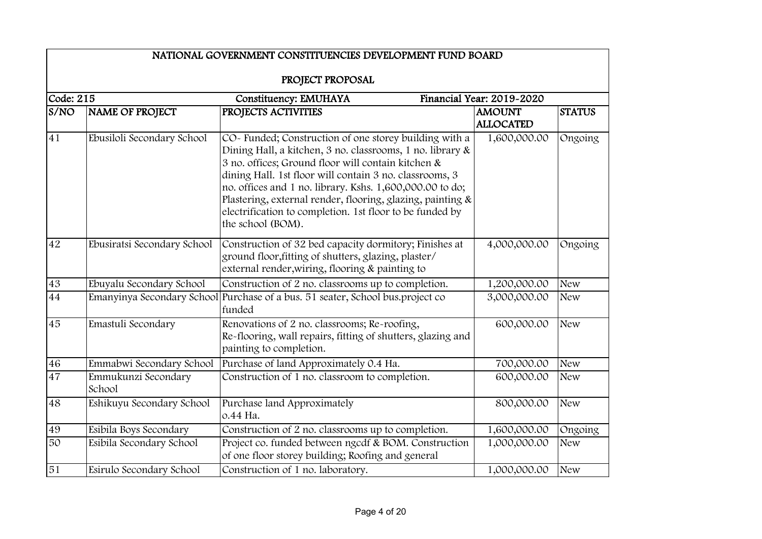|                 | NATIONAL GOVERNMENT CONSTITUENCIES DEVELOPMENT FUND BOARD       |                                                                                                                                                                                                                                                                                                                                                                                                                                                 |                                   |               |  |
|-----------------|-----------------------------------------------------------------|-------------------------------------------------------------------------------------------------------------------------------------------------------------------------------------------------------------------------------------------------------------------------------------------------------------------------------------------------------------------------------------------------------------------------------------------------|-----------------------------------|---------------|--|
|                 |                                                                 | PROJECT PROPOSAL                                                                                                                                                                                                                                                                                                                                                                                                                                |                                   |               |  |
|                 | Code: 215<br>Constituency: EMUHAYA<br>Financial Year: 2019-2020 |                                                                                                                                                                                                                                                                                                                                                                                                                                                 |                                   |               |  |
| S/NO            | NAME OF PROJECT                                                 | PROJECTS ACTIVITIES                                                                                                                                                                                                                                                                                                                                                                                                                             | <b>AMOUNT</b><br><b>ALLOCATED</b> | <b>STATUS</b> |  |
| 41              | Ebusiloli Secondary School                                      | CO- Funded; Construction of one storey building with a<br>Dining Hall, a kitchen, 3 no. classrooms, 1 no. library &<br>3 no. offices; Ground floor will contain kitchen &<br>dining Hall. 1st floor will contain 3 no. classrooms, 3<br>no. offices and 1 no. library. Kshs. 1,600,000.00 to do;<br>Plastering, external render, flooring, glazing, painting &<br>electrification to completion. 1st floor to be funded by<br>the school (BOM). | 1,600,000.00                      | Ongoing       |  |
| 42              | Ebusiratsi Secondary School                                     | Construction of 32 bed capacity dormitory; Finishes at<br>ground floor, fitting of shutters, glazing, plaster/<br>external render, wiring, flooring & painting to                                                                                                                                                                                                                                                                               | 4,000,000.00                      | Ongoing       |  |
| 43              | Ebuyalu Secondary School                                        | Construction of 2 no. classrooms up to completion.                                                                                                                                                                                                                                                                                                                                                                                              | 1,200,000.00                      | <b>New</b>    |  |
| $\overline{44}$ |                                                                 | Emanyinya Secondary School Purchase of a bus. 51 seater, School bus.project co<br>funded                                                                                                                                                                                                                                                                                                                                                        | 3,000,000.00                      | <b>New</b>    |  |
| 45              | Emastuli Secondary                                              | Renovations of 2 no. classrooms; Re-roofing,<br>Re-flooring, wall repairs, fitting of shutters, glazing and<br>painting to completion.                                                                                                                                                                                                                                                                                                          | 600,000.00                        | <b>New</b>    |  |
| 46              | Emmabwi Secondary School                                        | Purchase of land Approximately 0.4 Ha.                                                                                                                                                                                                                                                                                                                                                                                                          | 700,000.00                        | <b>New</b>    |  |
| 47              | Emmukunzi Secondary<br>School                                   | Construction of 1 no. classroom to completion.                                                                                                                                                                                                                                                                                                                                                                                                  | 600,000.00                        | <b>New</b>    |  |
| 48              | Eshikuyu Secondary School                                       | Purchase land Approximately<br>о.44 На.                                                                                                                                                                                                                                                                                                                                                                                                         | 800,000.00                        | <b>New</b>    |  |
| 49              | Esibila Boys Secondary                                          | Construction of 2 no. classrooms up to completion.                                                                                                                                                                                                                                                                                                                                                                                              | 1,600,000.00                      | Ongoing       |  |
| 50              | Esibila Secondary School                                        | Project co. funded between ngcdf & BOM. Construction<br>of one floor storey building; Roofing and general                                                                                                                                                                                                                                                                                                                                       | 1,000,000.00                      | <b>New</b>    |  |
| 51              | Esirulo Secondary School                                        | Construction of 1 no. laboratory.                                                                                                                                                                                                                                                                                                                                                                                                               | 1,000,000.00                      | <b>New</b>    |  |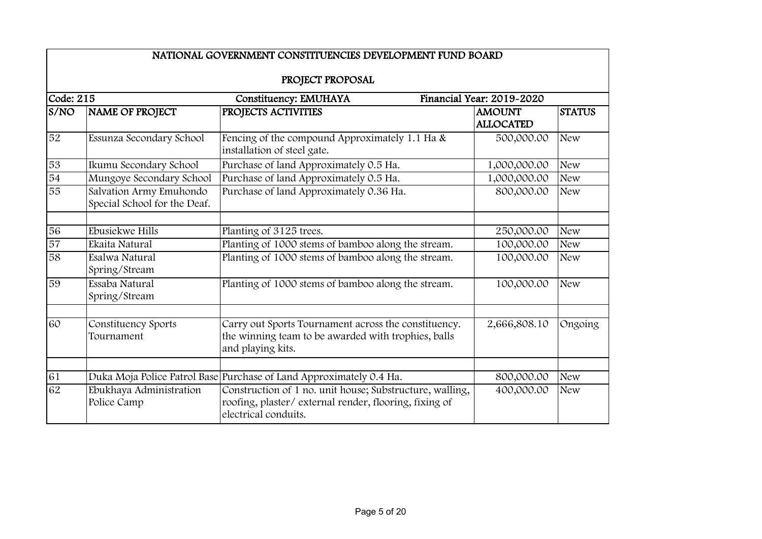|                 | NATIONAL GOVERNMENT CONSTITUENCIES DEVELOPMENT FUND BOARD |                                                                                                                                           |                                   |               |  |
|-----------------|-----------------------------------------------------------|-------------------------------------------------------------------------------------------------------------------------------------------|-----------------------------------|---------------|--|
|                 | PROJECT PROPOSAL                                          |                                                                                                                                           |                                   |               |  |
| Code: 215       |                                                           | Constituency: EMUHAYA                                                                                                                     | Financial Year: 2019-2020         |               |  |
| S/NO            | NAME OF PROJECT                                           | PROJECTS ACTIVITIES                                                                                                                       | <b>AMOUNT</b><br><b>ALLOCATED</b> | <b>STATUS</b> |  |
| 52              | Essunza Secondary School                                  | Fencing of the compound Approximately 1.1 Ha &<br>installation of steel gate.                                                             | 500,000.00                        | <b>New</b>    |  |
| 53              | Ikumu Secondary School                                    | Purchase of land Approximately 0.5 Ha.                                                                                                    | 1,000,000.00                      | <b>New</b>    |  |
| 54              | Mungoye Secondary School                                  | Purchase of land Approximately 0.5 Ha.                                                                                                    | 1,000,000.00                      | <b>New</b>    |  |
| 55              | Salvation Army Emuhondo<br>Special School for the Deaf.   | Purchase of land Approximately 0.36 Ha.                                                                                                   | 800,000.00                        | <b>New</b>    |  |
| 56              | Ebusiekwe Hills                                           | Planting of 3125 trees.                                                                                                                   | 250,000.00                        | <b>New</b>    |  |
| $\overline{57}$ | Ekaita Natural                                            | Planting of 1000 stems of bamboo along the stream.                                                                                        | 100,000.00                        | <b>New</b>    |  |
| $\overline{58}$ | Esalwa Natural<br>Spring/Stream                           | Planting of 1000 stems of bamboo along the stream.                                                                                        | 100,000.00                        | <b>New</b>    |  |
| 59              | Essaba Natural<br>Spring/Stream                           | Planting of 1000 stems of bamboo along the stream.                                                                                        | 100,000.00                        | <b>New</b>    |  |
| 60              | Constituency Sports<br>Tournament                         | Carry out Sports Tournament across the constituency.<br>the winning team to be awarded with trophies, balls<br>and playing kits.          | 2,666,808.10                      | Ongoing       |  |
|                 |                                                           |                                                                                                                                           |                                   |               |  |
| 61              |                                                           | Duka Moja Police Patrol Base Purchase of Land Approximately 0.4 Ha.                                                                       | 800,000.00                        | <b>New</b>    |  |
| 62              | Ebukhaya Administration<br>Police Camp                    | Construction of 1 no. unit house; Substructure, walling,<br>roofing, plaster/external render, flooring, fixing of<br>electrical conduits. | 400,000.00                        | <b>New</b>    |  |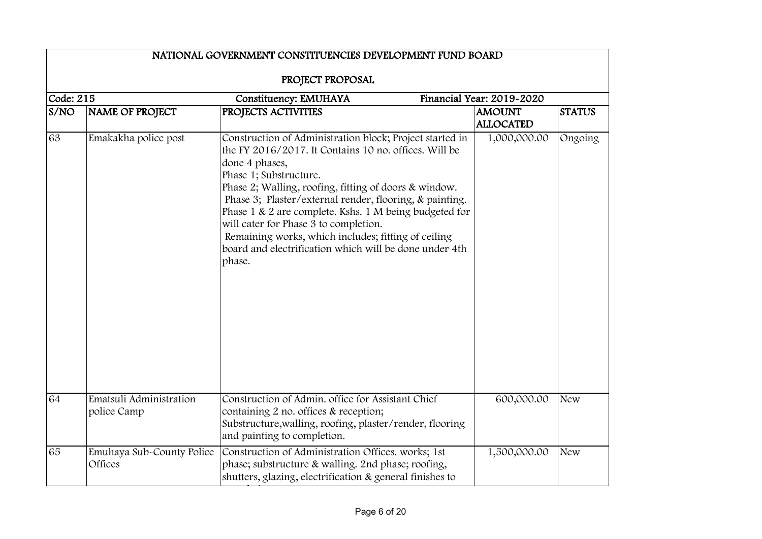|                           | NATIONAL GOVERNMENT CONSTITUENCIES DEVELOPMENT FUND BOARD |                                                                                                                                                                                                                                                                                                                                                                                                                                                                                                                 |                                   |               |
|---------------------------|-----------------------------------------------------------|-----------------------------------------------------------------------------------------------------------------------------------------------------------------------------------------------------------------------------------------------------------------------------------------------------------------------------------------------------------------------------------------------------------------------------------------------------------------------------------------------------------------|-----------------------------------|---------------|
| Code: 215                 |                                                           | PROJECT PROPOSAL                                                                                                                                                                                                                                                                                                                                                                                                                                                                                                | Financial Year: 2019-2020         |               |
| $\overline{\text{s}}$ /NO | NAME OF PROJECT                                           | Constituency: EMUHAYA<br>PROJECTS ACTIVITIES                                                                                                                                                                                                                                                                                                                                                                                                                                                                    | <b>AMOUNT</b><br><b>ALLOCATED</b> | <b>STATUS</b> |
| 63                        | Emakakha police post                                      | Construction of Administration block; Project started in<br>the FY 2016/2017. It Contains 10 no. offices. Will be<br>done 4 phases,<br>Phase 1; Substructure.<br>Phase 2; Walling, roofing, fitting of doors & window.<br>Phase 3; Plaster/external render, flooring, & painting.<br>Phase 1 & 2 are complete. Kshs. 1 M being budgeted for<br>will cater for Phase 3 to completion.<br>Remaining works, which includes; fitting of ceiling<br>board and electrification which will be done under 4th<br>phase. | 1,000,000.00                      | Ongoing       |
| 64                        | Ematsuli Administration<br>police Camp                    | Construction of Admin, office for Assistant Chief<br>containing 2 no. offices & reception;<br>Substructure, walling, roofing, plaster/render, flooring<br>and painting to completion.                                                                                                                                                                                                                                                                                                                           | 600,000.00                        | <b>New</b>    |
| 65                        | Emuhaya Sub-County Police<br>Offices                      | Construction of Administration Offices. works; 1st<br>phase; substructure & walling. 2nd phase; roofing,<br>shutters, glazing, electrification & general finishes to                                                                                                                                                                                                                                                                                                                                            | 1,500,000.00                      | <b>New</b>    |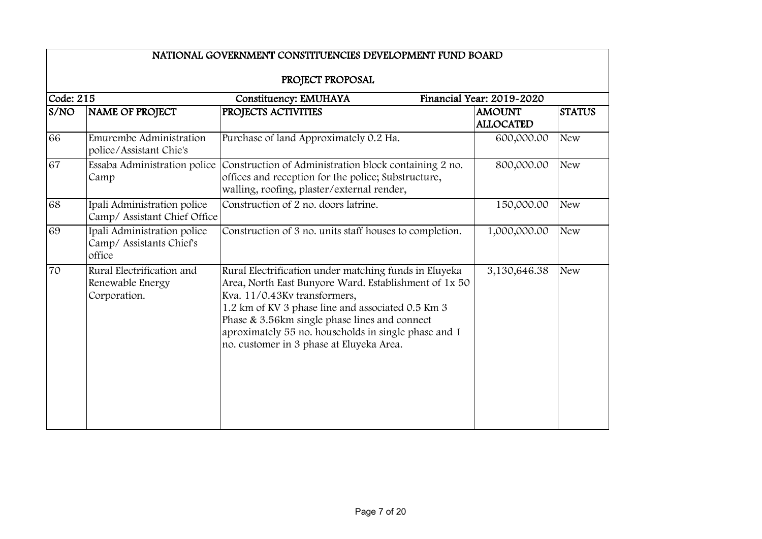|           | NATIONAL GOVERNMENT CONSTITUENCIES DEVELOPMENT FUND BOARD         |                                                                                                                                                                                                                                                                                                                                                          |                                   |               |  |
|-----------|-------------------------------------------------------------------|----------------------------------------------------------------------------------------------------------------------------------------------------------------------------------------------------------------------------------------------------------------------------------------------------------------------------------------------------------|-----------------------------------|---------------|--|
|           |                                                                   | PROJECT PROPOSAL                                                                                                                                                                                                                                                                                                                                         |                                   |               |  |
| Code: 215 |                                                                   | Constituency: EMUHAYA                                                                                                                                                                                                                                                                                                                                    | Financial Year: 2019-2020         |               |  |
| S/NO      | NAME OF PROJECT                                                   | PROJECTS ACTIVITIES                                                                                                                                                                                                                                                                                                                                      | <b>AMOUNT</b><br><b>ALLOCATED</b> | <b>STATUS</b> |  |
| 66        | Emurembe Administration<br>police/Assistant Chie's                | Purchase of land Approximately 0.2 Ha.                                                                                                                                                                                                                                                                                                                   | 600,000.00                        | <b>New</b>    |  |
| 67        | Essaba Administration police<br>Camp                              | Construction of Administration block containing 2 no.<br>offices and reception for the police; Substructure,<br>walling, roofing, plaster/external render,                                                                                                                                                                                               | 800,000.00                        | <b>New</b>    |  |
| 68        | Ipali Administration police<br>Camp/ Assistant Chief Office       | Construction of 2 no. doors latrine.                                                                                                                                                                                                                                                                                                                     | 150,000.00                        | <b>New</b>    |  |
| 69        | Ipali Administration police<br>Camp/ Assistants Chief's<br>office | Construction of 3 no. units staff houses to completion.                                                                                                                                                                                                                                                                                                  | 1,000,000.00                      | <b>New</b>    |  |
| 70        | Rural Electrification and<br>Renewable Energy<br>Corporation.     | Rural Electrification under matching funds in Eluyeka<br>Area, North East Bunyore Ward. Establishment of 1x 50<br>Kva. 11/0.43Kv transformers,<br>1.2 km of KV 3 phase line and associated 0.5 Km 3<br>Phase & 3.56km single phase lines and connect<br>aproximately 55 no. households in single phase and 1<br>no. customer in 3 phase at Eluyeka Area. | 3,130,646.38                      | <b>New</b>    |  |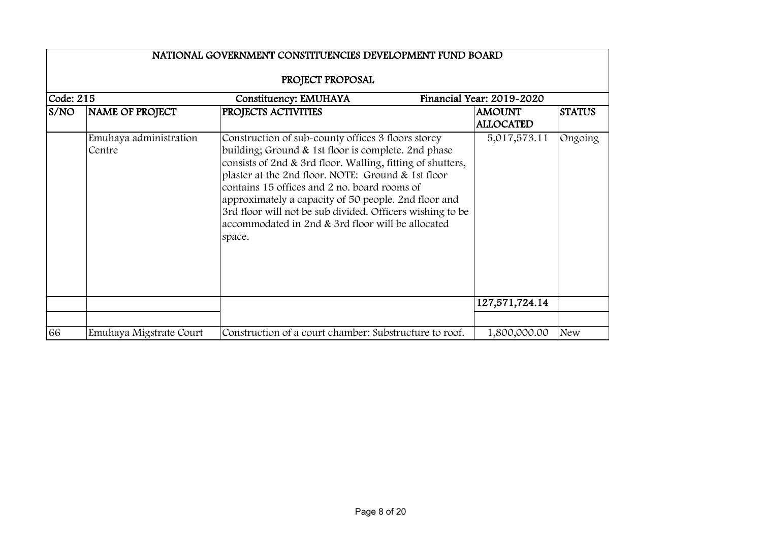|                                                                 | NATIONAL GOVERNMENT CONSTITUENCIES DEVELOPMENT FUND BOARD |                                                                                                                                                                                                                                                                                                                                                                                                                                                                   |                                   |               |  |  |
|-----------------------------------------------------------------|-----------------------------------------------------------|-------------------------------------------------------------------------------------------------------------------------------------------------------------------------------------------------------------------------------------------------------------------------------------------------------------------------------------------------------------------------------------------------------------------------------------------------------------------|-----------------------------------|---------------|--|--|
|                                                                 | PROJECT PROPOSAL                                          |                                                                                                                                                                                                                                                                                                                                                                                                                                                                   |                                   |               |  |  |
| Code: 215<br>Financial Year: 2019-2020<br>Constituency: EMUHAYA |                                                           |                                                                                                                                                                                                                                                                                                                                                                                                                                                                   |                                   |               |  |  |
| S/NO                                                            | NAME OF PROJECT                                           | PROJECTS ACTIVITIES                                                                                                                                                                                                                                                                                                                                                                                                                                               | <b>AMOUNT</b><br><b>ALLOCATED</b> | <b>STATUS</b> |  |  |
|                                                                 | Emuhaya administration<br>Centre                          | Construction of sub-county offices 3 floors storey<br>building; Ground & 1st floor is complete. 2nd phase<br>consists of 2nd & 3rd floor. Walling, fitting of shutters,<br>plaster at the 2nd floor. NOTE: Ground & 1st floor<br>contains 15 offices and 2 no. board rooms of<br>approximately a capacity of 50 people. 2nd floor and<br>3rd floor will not be sub divided. Officers wishing to be<br>accommodated in 2nd & 3rd floor will be allocated<br>space. | 5,017,573.11                      | Ongoing       |  |  |
|                                                                 |                                                           |                                                                                                                                                                                                                                                                                                                                                                                                                                                                   | 127,571,724.14                    |               |  |  |
| 66                                                              | Emuhaya Migstrate Court                                   | Construction of a court chamber: Substructure to roof.                                                                                                                                                                                                                                                                                                                                                                                                            | 1,800,000.00                      | <b>New</b>    |  |  |